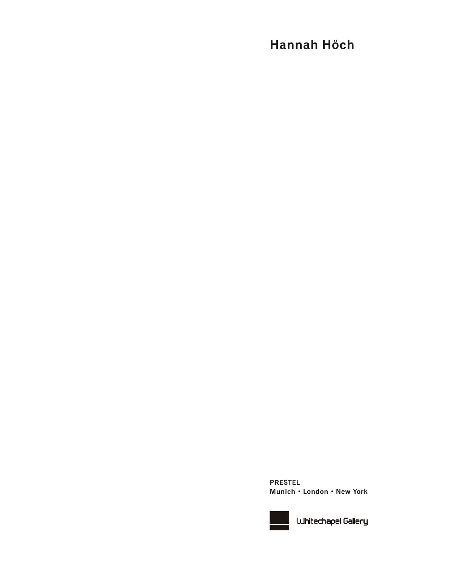# **Hannah Höch**

**PRESTEL Munich • London • New York**



**UJhitechapel Gallery**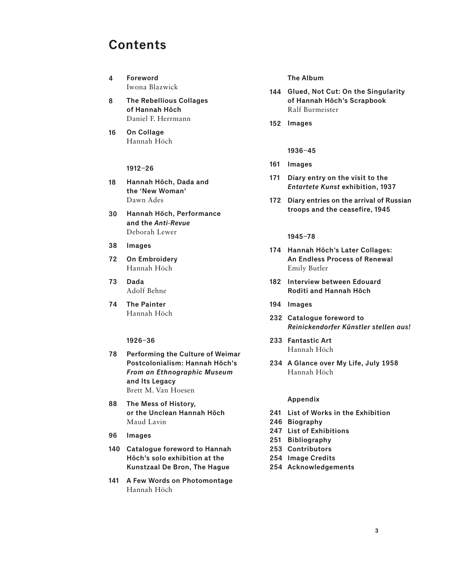## **Contents**

- **Foreword**  Iwona Blazwick **4**
- **The Rebellious Collages of Hannah Höch**  Daniel F. Herrmann **8**
- **On Collage**  Hannah Höch **16**

#### **1912–26**

- **Hannah Höch, Dada and the 'New Woman'**  Dawn Ades **18**
- **Hannah Höch, Performance and the** Anti-Revue Deborah Lewer **30**
- **Images 38**
- **On Embroidery**  Hannah Höch **72**
- **Dada**  Adolf Behne **73**
- **The Painter**  Hannah Höch **74**

#### **1926–36**

- **Performing the Culture of Weimar 78 Postcolonialism: Hannah Höch's**  From an Ethnographic Museum **and Its Legacy**  Brett M. Van Hoesen
- **The Mess of History, 88 or the Unclean Hannah Höch**  Maud Lavin
- **Images 96**
- **Catalogue foreword to Hannah 140 Höch's solo exhibition at the Kunstzaal De Bron, The Hague**
- **A Few Words on Photomontage 141** Hannah Höch

**The Album**

- **Glued, Not Cut: On the Singularity 144 of Hannah Höch's Scrapbook**  Ralf Burmeister
- **Images 152**
	- **1936–45**
- **Images 161**
- **Diary entry on the visit to the 171** Entartete Kunst **exhibition, 1937**
- **Diary entries on the arrival of Russian 172 troops and the ceasefire, 1945**

**1945–78**

- **Hannah Höch's Later Collages: 174 An Endless Process of Renewal**  Emily Butler
- **Interview between Edouard 182 Roditi and Hannah Höch**
- **Images 194**
- **Catalogue foreword to 232** Reinickendorfer Künstler stellen aus!
- **Fantastic Art 233** Hannah Höch
- **A Glance over My Life, July 1958 234** Hannah Höch

#### **Appendix**

- **List of Works in the Exhibition 241**
- **Biography 246**
- **List of Exhibitions 247**
- **Bibliography 251**
- **Contributors 253**
- **Image Credits 254**
- **Acknowledgements 254**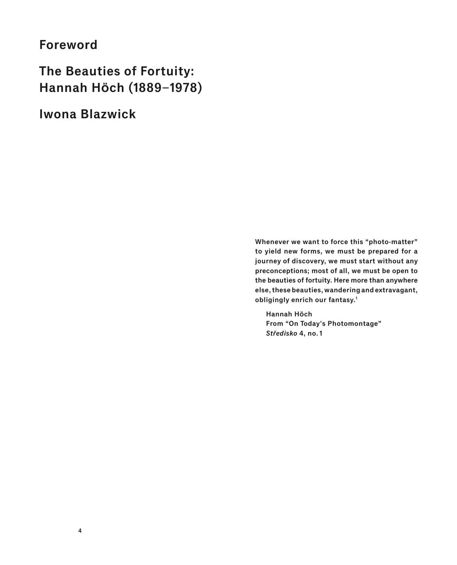### **Foreword**

**The Beauties of Fortuity: Hannah Höch (1889–1978)**

**Iwona Blazwick**

**Whenever we want to force this "photo-matter" to yield new forms, we must be prepared for a journey of discovery, we must start without any preconceptions; most of all, we must be open to the beauties of fortuity. Here more than anywhere else, these beauties, wandering and extravagant, obligingly enrich our fantasy.1**

**Hannah Höch From "On Today's Photomontage"**  Středisko 4, no. 1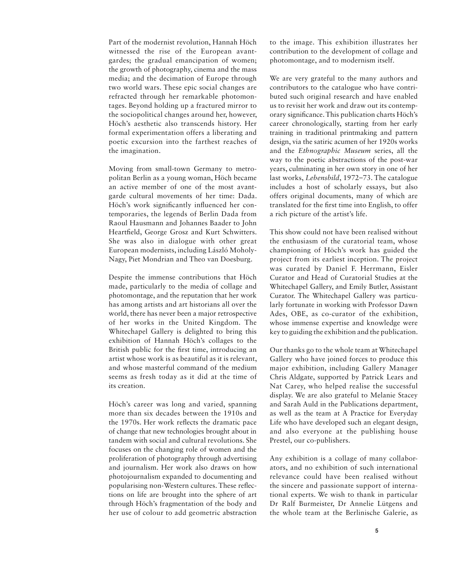Part of the modernist revolution, Hannah Höch witnessed the rise of the European avantgardes; the gradual emancipation of women; the growth of photography, cinema and the mass media; and the decimation of Europe through two world wars. These epic social changes are refracted through her remarkable photomontages. Beyond holding up a fractured mirror to the sociopolitical changes around her, however, Höch's aesthetic also transcends history. Her formal experimentation offers a liberating and poetic excursion into the farthest reaches of the imagination.

Moving from small-town Germany to metropolitan Berlin as a young woman, Höch became an active member of one of the most avantgarde cultural movements of her time: Dada. Höch's work significantly influenced her contemporaries, the legends of Berlin Dada from Raoul Hausmann and Johannes Baader to John Heartfield, George Grosz and Kurt Schwitters. She was also in dialogue with other great European modernists, including László Moholy-Nagy, Piet Mondrian and Theo van Doesburg.

Despite the immense contributions that Höch made, particularly to the media of collage and photomontage, and the reputation that her work has among artists and art historians all over the world, there has never been a major retrospective of her works in the United Kingdom. The Whitechapel Gallery is delighted to bring this exhibition of Hannah Höch's collages to the British public for the first time, introducing an artist whose work is as beautiful as it is relevant, and whose masterful command of the medium seems as fresh today as it did at the time of its creation.

Höch's career was long and varied, spanning more than six decades between the 1910s and the 1970s. Her work reflects the dramatic pace of change that new technologies brought about in tandem with social and cultural revolutions. She focuses on the changing role of women and the proliferation of photography through advertising and journalism. Her work also draws on how photojournalism expanded to documenting and popularising non-Western cultures. These reflections on life are brought into the sphere of art through Höch's fragmentation of the body and her use of colour to add geometric abstraction

to the image. This exhibition illustrates her contribution to the development of collage and photomontage, and to modernism itself.

We are very grateful to the many authors and contributors to the catalogue who have contributed such original research and have enabled us to revisit her work and draw out its contemporary significance. This publication charts Höch's career chronologically, starting from her early training in traditional printmaking and pattern design, via the satiric acumen of her 1920s works and the *Ethnographic Museum* series, all the way to the poetic abstractions of the post-war years, culminating in her own story in one of her last works, *Lebensbild*, 1972–73. The catalogue includes a host of scholarly essays, but also offers original documents, many of which are translated for the first time into English, to offer a rich picture of the artist's life.

This show could not have been realised without the enthusiasm of the curatorial team, whose championing of Höch's work has guided the project from its earliest inception. The project was curated by Daniel F. Herrmann, Eisler Curator and Head of Curatorial Studies at the Whitechapel Gallery, and Emily Butler, Assistant Curator. The Whitechapel Gallery was particularly fortunate in working with Professor Dawn Ades, OBE, as co-curator of the exhibition, whose immense expertise and knowledge were key to guiding the exhibition and the publication.

Our thanks go to the whole team at Whitechapel Gallery who have joined forces to produce this major exhibition, including Gallery Manager Chris Aldgate, supported by Patrick Lears and Nat Carey, who helped realise the successful display. We are also grateful to Melanie Stacey and Sarah Auld in the Publications department, as well as the team at A Practice for Everyday Life who have developed such an elegant design, and also everyone at the publishing house Prestel, our co-publishers.

Any exhibition is a collage of many collaborators, and no exhibition of such international relevance could have been realised without the sincere and passionate support of international experts. We wish to thank in particular Dr Ralf Burmeister, Dr Annelie Lütgens and the whole team at the Berlinische Galerie, as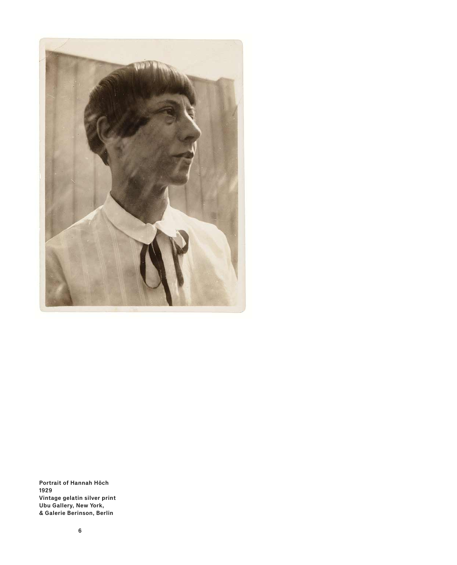

**Portrait of Hannah Höch 1929 Vintage gelatin silver print Ubu Gallery, New York, & Galerie Berinson, Berlin**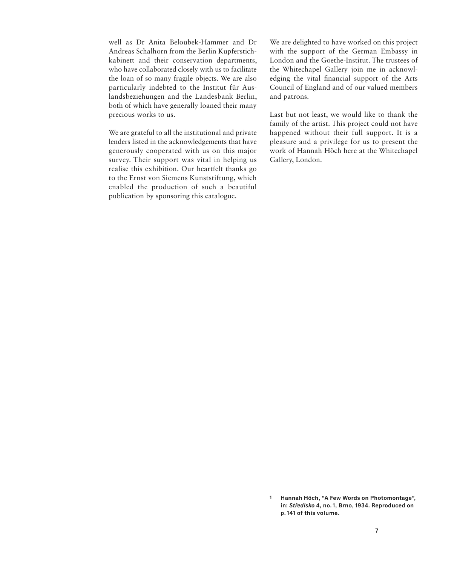well as Dr Anita Beloubek-Hammer and Dr Andreas Schalhorn from the Berlin Kupferstichkabinett and their conservation departments, who have collaborated closely with us to facilitate the loan of so many fragile objects. We are also particularly indebted to the Institut für Auslandsbeziehungen and the Landesbank Berlin, both of which have generally loaned their many precious works to us.

We are grateful to all the institutional and private lenders listed in the acknowledgements that have generously cooperated with us on this major survey. Their support was vital in helping us realise this exhibition. Our heartfelt thanks go to the Ernst von Siemens Kunststiftung, which enabled the production of such a beautiful publication by sponsoring this catalogue.

We are delighted to have worked on this project with the support of the German Embassy in London and the Goethe-Institut. The trustees of the Whitechapel Gallery join me in acknowledging the vital financial support of the Arts Council of England and of our valued members and patrons.

Last but not least, we would like to thank the family of the artist. This project could not have happened without their full support. It is a pleasure and a privilege for us to present the work of Hannah Höch here at the Whitechapel Gallery, London.

**Hannah Höch, "A Few Words on Photomontage", 1**in: Středisko 4, no. 1, Brno, 1934. Reproduced on **p. 141 of this volume.**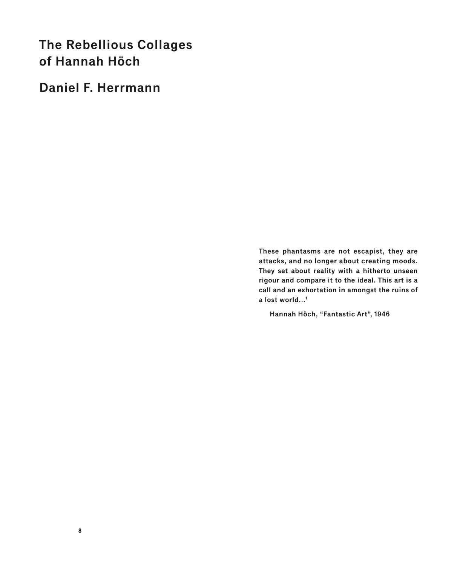# **The Rebellious Collages of Hannah Höch**

**Daniel F. Herrmann**

**These phantasms are not escapist, they are attacks, and no longer about creating moods. They set about reality with a hitherto unseen rigour and compare it to the ideal. This art is a call and an exhortation in amongst the ruins of a lost world...1**

**Hannah Höch, "Fantastic Art", 1946**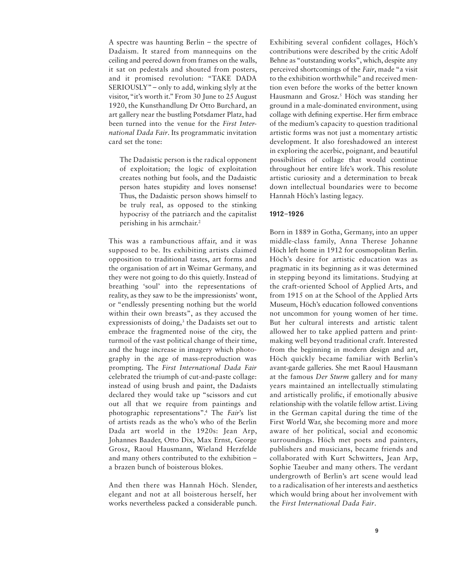A spectre was haunting Berlin – the spectre of Dadaism. It stared from mannequins on the ceiling and peered down from frames on the walls, it sat on pedestals and shouted from posters, and it promised revolution: "TAKE DADA SERIOUSLY" – only to add, winking slyly at the visitor, "it's worth it." From 30 June to 25 August 1920, the Kunsthandlung Dr Otto Burchard, an art gallery near the bustling Potsdamer Platz, had been turned into the venue for the *First International Dada Fair*. Its programmatic invitation card set the tone:

The Dadaistic person is the radical opponent of exploitation; the logic of exploitation creates nothing but fools, and the Dadaistic person hates stupidity and loves nonsense! Thus, the Dadaistic person shows himself to be truly real, as opposed to the stinking hypocrisy of the patriarch and the capitalist perishing in his armchair.2

This was a rambunctious affair, and it was supposed to be. Its exhibiting artists claimed opposition to traditional tastes, art forms and the organisation of art in Weimar Germany, and they were not going to do this quietly. Instead of breathing 'soul' into the representations of reality, as they saw to be the impressionists' wont, or "endlessly presenting nothing but the world within their own breasts", as they accused the expressionists of doing,<sup>3</sup> the Dadaists set out to embrace the fragmented noise of the city, the turmoil of the vast political change of their time, and the huge increase in imagery which photography in the age of mass-reproduction was prompting. The *First International Dada Fair* celebrated the triumph of cut-and-paste collage: instead of using brush and paint, the Dadaists declared they would take up "scissors and cut out all that we require from paintings and photographic representations".4 The *Fair*'s list of artists reads as the who's who of the Berlin Dada art world in the 1920s: Jean Arp, Johannes Baader, Otto Dix, Max Ernst, George Grosz, Raoul Hausmann, Wieland Herzfelde and many others contributed to the exhibition – a brazen bunch of boisterous blokes.

And then there was Hannah Höch. Slender, elegant and not at all boisterous herself, her works nevertheless packed a considerable punch. Exhibiting several confident collages, Höch's contributions were described by the critic Adolf Behne as "outstanding works", which, despite any perceived shortcomings of the *Fair*, made "a visit to the exhibition worthwhile" and received mention even before the works of the better known Hausmann and Grosz.<sup>5</sup> Höch was standing her ground in a male-dominated environment, using collage with defining expertise. Her firm embrace of the medium's capacity to question traditional artistic forms was not just a momentary artistic development. It also foreshadowed an interest in exploring the acerbic, poignant, and beautiful possibilities of collage that would continue throughout her entire life's work. This resolute artistic curiosity and a determination to break down intellectual boundaries were to become Hannah Höch's lasting legacy.

#### **1912–1926**

Born in 1889 in Gotha, Germany, into an upper middle-class family, Anna Therese Johanne Höch left home in 1912 for cosmopolitan Berlin. Höch's desire for artistic education was as pragmatic in its beginning as it was determined in stepping beyond its limitations. Studying at the craft-oriented School of Applied Arts, and from 1915 on at the School of the Applied Arts Museum, Höch's education followed conventions not uncommon for young women of her time. But her cultural interests and artistic talent allowed her to take applied pattern and printmaking well beyond traditional craft. Interested from the beginning in modern design and art, Höch quickly became familiar with Berlin's avant-garde galleries. She met Raoul Hausmann at the famous *Der Sturm* gallery and for many years maintained an intellectually stimulating and artistically prolific, if emotionally abusive relationship with the volatile fellow artist. Living in the German capital during the time of the First World War, she becoming more and more aware of her political, social and economic surroundings. Höch met poets and painters, publishers and musicians, became friends and collaborated with Kurt Schwitters, Jean Arp, Sophie Taeuber and many others. The verdant undergrowth of Berlin's art scene would lead to a radicalisation of her interests and aesthetics which would bring about her involvement with the *First International Dada Fair*.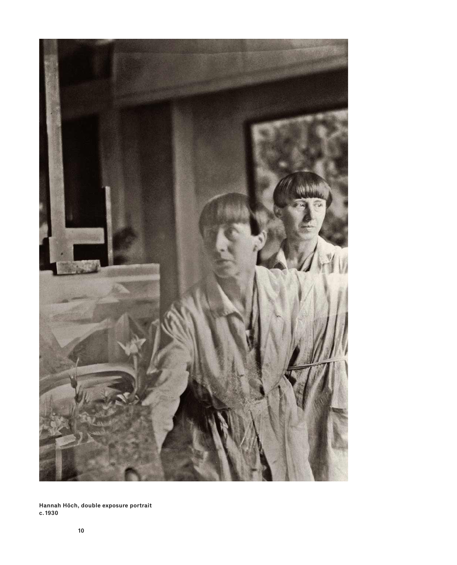

**Hannah Höch, double exposure portrait c. 1930**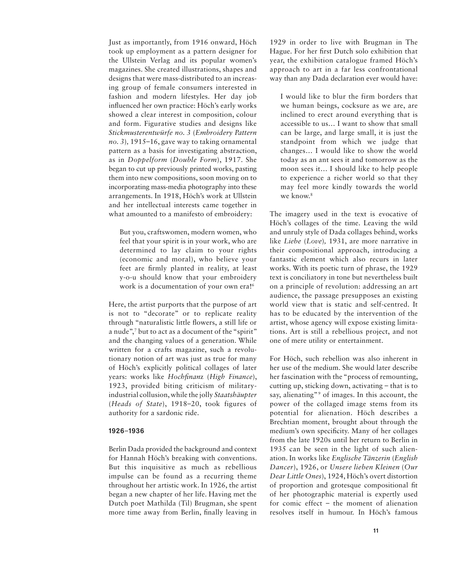Just as importantly, from 1916 onward, Höch took up employment as a pattern designer for the Ullstein Verlag and its popular women's magazines. She created illustrations, shapes and designs that were mass-distributed to an increasing group of female consumers interested in fashion and modern lifestyles. Her day job influenced her own practice: Höch's early works showed a clear interest in composition, colour and form. Figurative studies and designs like *Stickmusterentwürfe no. 3* (*Embroidery Pattern no. 3*)*,* 1915–16, gave way to taking ornamental pattern as a basis for investigating abstraction, as in *Doppelform* (*Double Form*), 1917. She began to cut up previously printed works, pasting them into new compositions, soon moving on to incorporating mass-media photography into these arrangements. In 1918, Höch's work at Ullstein and her intellectual interests came together in what amounted to a manifesto of embroidery:

But you, craftswomen, modern women, who feel that your spirit is in your work, who are determined to lay claim to your rights (economic and moral), who believe your feet are firmly planted in reality, at least y-o-u should know that your embroidery work is a documentation of your own era!<sup>6</sup>

Here, the artist purports that the purpose of art is not to "decorate" or to replicate reality through "naturalistic little flowers, a still life or a nude",7 but to act as a document of the "spirit" and the changing values of a generation. While written for a crafts magazine, such a revolutionary notion of art was just as true for many of Höch's explicitly political collages of later years: works like *Hochfinanz* (*High Finance*), 1923, provided biting criticism of militaryindustrial collusion, while the jolly *Staatshäupter*  (*Heads of State*), 1918–20, took figures of authority for a sardonic ride.

#### **1926–1936**

Berlin Dada provided the background and context for Hannah Höch's breaking with conventions. But this inquisitive as much as rebellious impulse can be found as a recurring theme throughout her artistic work. In 1926, the artist began a new chapter of her life. Having met the Dutch poet Mathilda (Til) Brugman, she spent more time away from Berlin, finally leaving in

1929 in order to live with Brugman in The Hague. For her first Dutch solo exhibition that year, the exhibition catalogue framed Höch's approach to art in a far less confrontational way than any Dada declaration ever would have:

I would like to blur the firm borders that we human beings, cocksure as we are, are inclined to erect around everything that is accessible to us… I want to show that small can be large, and large small, it is just the standpoint from which we judge that changes… I would like to show the world today as an ant sees it and tomorrow as the moon sees it… I should like to help people to experience a richer world so that they may feel more kindly towards the world we know.<sup>8</sup>

The imagery used in the text is evocative of Höch's collages of the time. Leaving the wild and unruly style of Dada collages behind, works like *Liebe* (*Love*)*,* 1931, are more narrative in their compositional approach, introducing a fantastic element which also recurs in later works. With its poetic turn of phrase, the 1929 text is conciliatory in tone but nevertheless built on a principle of revolution: addressing an art audience, the passage presupposes an existing world view that is static and self-centred. It has to be educated by the intervention of the artist, whose agency will expose existing limitations. Art is still a rebellious project, and not one of mere utility or entertainment.

For Höch, such rebellion was also inherent in her use of the medium. She would later describe her fascination with the "process of remounting, cutting up, sticking down, activating – that is to say, alienating"<sup>9</sup> of images. In this account, the power of the collaged image stems from its potential for alienation. Höch describes a Brechtian moment, brought about through the medium's own specificity. Many of her collages from the late 1920s until her return to Berlin in 1935 can be seen in the light of such alienation. In works like *Englische Tänzerin* (*English Dancer*), 1926, or *Unsere lieben Kleinen* (*Our Dear Little Ones*), 1924, Höch's overt distortion of proportion and grotesque compositional fit of her photographic material is expertly used for comic effect – the moment of alienation resolves itself in humour. In Höch's famous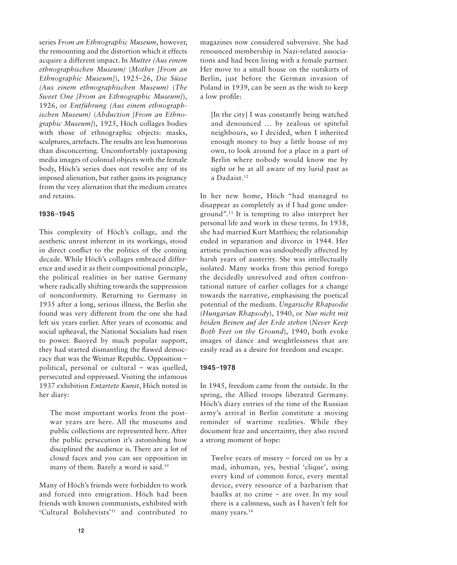series *From an Ethnographic Museum*, however, the remounting and the distortion which it effects acquire a different impact. In *Mutter (Aus einem ethnographischen Museum)* (*Mother [From an Ethnographic Museum]*), 1925–26, *Die Süsse (Aus einem ethnographischen Museum)* (*The Sweet One [From an Ethnographic Museum]*), 1926, or *Entführung (Aus einem ethnographischen Museum)* (*Abduction [From an Ethnographic Museum]*), 1925, Höch collages bodies with those of ethnographic objects: masks, sculptures, artefacts. The results are less humorous than disconcerting. Uncomfortably juxtaposing media images of colonial objects with the female body, Höch's series does not resolve any of its imposed alienation, but rather gains its poignancy from the very alienation that the medium creates and retains.

#### **1936–1945**

This complexity of Höch's collage, and the aesthetic unrest inherent in its workings, stood in direct conflict to the politics of the coming decade. While Höch's collages embraced difference and used it as their compositional principle, the political realities in her native Germany where radically shifting towards the suppression of nonconformity. Returning to Germany in 1935 after a long, serious illness, the Berlin she found was very different from the one she had left six years earlier. After years of economic and social upheaval, the National Socialists had risen to power. Buoyed by much popular support, they had started dismantling the flawed democracy that was the Weimar Republic. Opposition – political, personal or cultural – was quelled, persecuted and oppressed. Visiting the infamous 1937 exhibition *Entartete Kunst*, Höch noted in her diary:

The most important works from the postwar years are here. All the museums and public collections are represented here. After the public persecution it's astonishing how disciplined the audience is. There are a lot of closed faces and you can see opposition in many of them. Barely a word is said.<sup>10</sup>

Many of Höch's friends were forbidden to work and forced into emigration. Höch had been friends with known communists, exhibited with 'Cultural Bolshevists'11 and contributed to magazines now considered subversive. She had renounced membership in Nazi-related associations and had been living with a female partner. Her move to a small house on the outskirts of Berlin, just before the German invasion of Poland in 1939, can be seen as the wish to keep a low profile:

[In the city] I was constantly being watched and denounced … by zealous or spiteful neighbours, so I decided, when I inherited enough money to buy a little house of my own, to look around for a place in a part of Berlin where nobody would know me by sight or be at all aware of my lurid past as a Dadaist.12

In her new home, Höch "had managed to disappear as completely as if I had gone underground".13 It is tempting to also interpret her personal life and work in these terms. In 1938, she had married Kurt Matthies; the relationship ended in separation and divorce in 1944. Her artistic production was undoubtedly affected by harsh years of austerity. She was intellectually isolated. Many works from this period forego the decidedly unresolved and often confrontational nature of earlier collages for a change towards the narrative, emphasising the poetical potential of the medium. *Ungarische Rhapsodie*  (*Hungarian Rhapsody*), 1940, or *Nur nicht mit beiden Beinen auf der Erde stehen* (*Never Keep Both Feet on the Ground*), 1940, both evoke images of dance and weightlessness that are easily read as a desire for freedom and escape.

#### **1945–1978**

In 1945, freedom came from the outside. In the spring, the Allied troops liberated Germany. Höch's diary entries of the time of the Russian army's arrival in Berlin constitute a moving reminder of wartime realities. While they document fear and uncertainty, they also record a strong moment of hope:

Twelve years of misery – forced on us by a mad, inhuman, yes, bestial 'clique', using every kind of common force, every mental device, every resource of a barbarism that baulks at no crime – are over. In my soul there is a calmness, such as I haven't felt for many years.<sup>14</sup>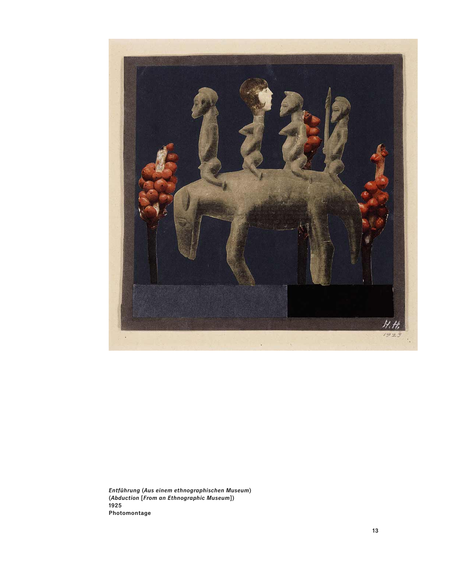

Entführung **(**Aus einem ethnographischen Museum **) (**Abduction **[**From an Ethnographic Museum**]) 1925 Photomontage**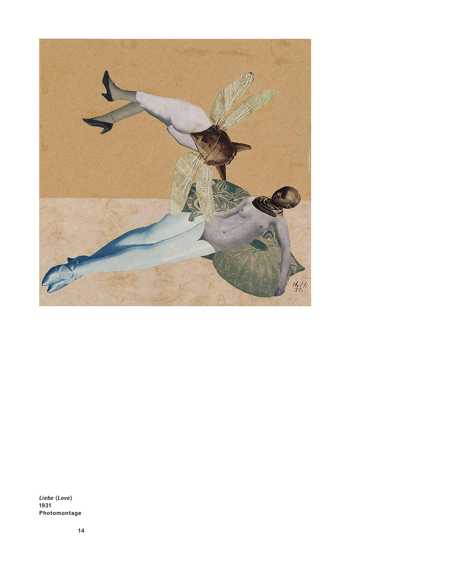

Liebe **(**Love**) 1931 Photomontage**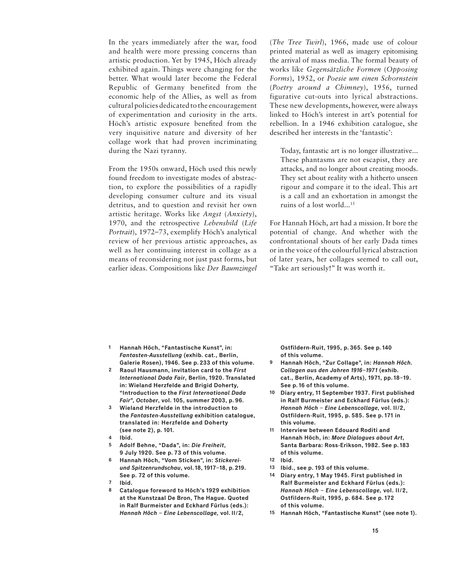In the years immediately after the war, food and health were more pressing concerns than artistic production. Yet by 1945, Höch already exhibited again. Things were changing for the better. What would later become the Federal Republic of Germany benefited from the economic help of the Allies, as well as from cultural policies dedicated to the encouragement of experimentation and curiosity in the arts. Höch's artistic exposure benefited from the very inquisitive nature and diversity of her collage work that had proven incriminating during the Nazi tyranny.

From the 1950s onward, Höch used this newly found freedom to investigate modes of abstraction, to explore the possibilities of a rapidly developing consumer culture and its visual detritus, and to question and revisit her own artistic heritage. Works like *Angst* (*Anxiety*), 1970, and the retrospective *Lebensbild* (*Life Portrait*), 1972–73, exemplify Höch's analytical review of her previous artistic approaches, as well as her continuing interest in collage as a means of reconsidering not just past forms, but earlier ideas. Compositions like *Der Baumzingel* 

(*The Tree Twirl*), 1966, made use of colour printed material as well as imagery epitomising the arrival of mass media. The formal beauty of works like *Gegensätzliche Formen* (*Opposing Forms*), 1952, or *Poesie um einen Schornstein*  (*Poetry around a Chimney*), 1956, turned figurative cut-outs into lyrical abstractions. These new developments, however, were always linked to Höch's interest in art's potential for rebellion. In a 1946 exhibition catalogue, she described her interests in the 'fantastic':

Today, fantastic art is no longer illustrative... These phantasms are not escapist, they are attacks, and no longer about creating moods. They set about reality with a hitherto unseen rigour and compare it to the ideal. This art is a call and an exhortation in amongst the ruins of a lost world...15

For Hannah Höch, art had a mission. It bore the potential of change. And whether with the confrontational shouts of her early Dada times or in the voice of the colourful lyrical abstraction of later years, her collages seemed to call out, "Take art seriously!" It was worth it.

- **Hannah Höch, "Fantastische Kunst", in: 1** Fantasten-Ausstellung **(exhib. cat., Berlin, Galerie Rosen), 1946. See p. 233 of this volume.**
- **Raoul Hausmann, invitation card to the** First International Dada Fair**, Berlin, 1920. Translated in: Wieland Herzfelde and Brigid Doherty, "Introduction to the** First International Dada Fair**",** October**, vol. 105, summer 2003, p. 96. 2**
- **Wieland Herzfelde in the introduction to the** Fantasten-Ausstellung **exhibition catalogue, translated in: Herzfelde and Doherty (see note 2), p. 101. 3**
- **Ibid. 4**
- **Adolf Behne, "Dada", in:** Die Freiheit**, 9 July 1920. See p. 73 of this volume. 5**
- **Hannah Höch, "Vom Sticken", in:** Stickereiund Spitzenrundschau**, vol. 18, 1917–18, p. 219. See p. 72 of this volume. 6**
- **Ibid. 7**
- **Catalogue foreword to Höch's 1929 exhibition at the Kunstzaal De Bron, The Hague. Quoted in Ralf Burmeister and Eckhard Fürlus (eds.):**  Hannah Höch – Eine Lebenscollage, **vol. II/2, 8**

**Ostfildern-Ruit, 1995, p. 365. See p. 140 of this volume.**

- **9 Hannah Höch, "Zur Collage", in:** Hannah Höch. Collagen aus den Jahren 1916–1971 **(exhib. cat., Berlin, Academy of Arts), 1971, pp. 18–19. See p. 16 of this volume.**
- **10 Diary entry, 11 September 1937. First published in Ralf Burmeister and Eckhard Fürlus (eds.):**  Hannah Höch – Eine Lebenscollage, **vol. II/2, Ostfildern-Ruit, 1995, p. 585. See p. 171 in this volume.**
- **11 Interview between Edouard Roditi and Hannah Höch, in:** More Dialogues about Art**, Santa Barbara: Ross-Erikson, 1982. See p. 183 of this volume.**
- **12 Ibid.**
- **13 Ibid., see p. 193 of this volume.**
- **14 Diary entry, 1 May 1945. First published in Ralf Burmeister and Eckhard Fürlus (eds.):**  Hannah Höch – Eine Lebenscollage, **vol. II/2, Ostfildern-Ruit, 1995, p. 684. See p. 172 of this volume.**
- **15 Hannah Höch, "Fantastische Kunst" (see note 1).**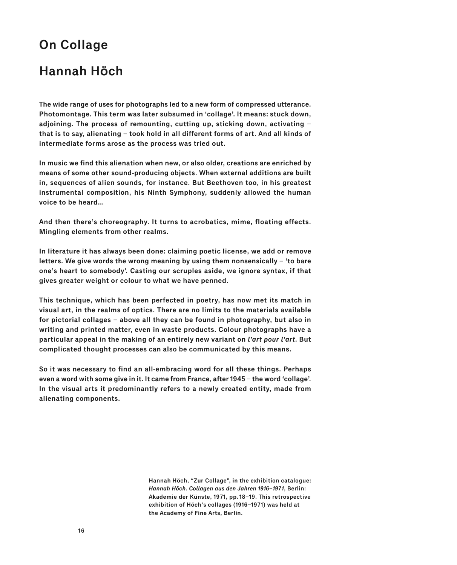## **On Collage**

## **Hannah Höch**

**The wide range of uses for photographs led to a new form of compressed utterance. Photomontage. This term was later subsumed in 'collage'. It means: stuck down, adjoining. The process of remounting, cutting up, sticking down, activating – that is to say, alienating – took hold in all different forms of art. And all kinds of intermediate forms arose as the process was tried out.**

**In music we find this alienation when new, or also older, creations are enriched by means of some other sound-producing objects. When external additions are built in, sequences of alien sounds, for instance. But Beethoven too, in his greatest instrumental composition, his Ninth Symphony, suddenly allowed the human voice to be heard…**

**And then there's choreography. It turns to acrobatics, mime, floating effects. Mingling elements from other realms.** 

**In literature it has always been done: claiming poetic license, we add or remove letters. We give words the wrong meaning by using them nonsensically – 'to bare one's heart to somebody'. Casting our scruples aside, we ignore syntax, if that gives greater weight or colour to what we have penned.**

**This technique, which has been perfected in poetry, has now met its match in visual art, in the realms of optics. There are no limits to the materials available for pictorial collages – above all they can be found in photography, but also in writing and printed matter, even in waste products. Colour photographs have a particular appeal in the making of an entirely new variant on** l'art pour l'art**. But complicated thought processes can also be communicated by this means.** 

**So it was necessary to find an all-embracing word for all these things. Perhaps even a word with some give in it. It came from France, after 1945 – the word 'collage'. In the visual arts it predominantly refers to a newly created entity, made from alienating components.**

> **Hannah Höch, "Zur Collage", in the exhibition catalogue:**  Hannah Höch. Collagen aus den Jahren 1916–1971**, Berlin: Akademie der Künste, 1971, pp. 18–19. This retrospective exhibition of Höch's collages (1916–1971) was held at the Academy of Fine Arts, Berlin.**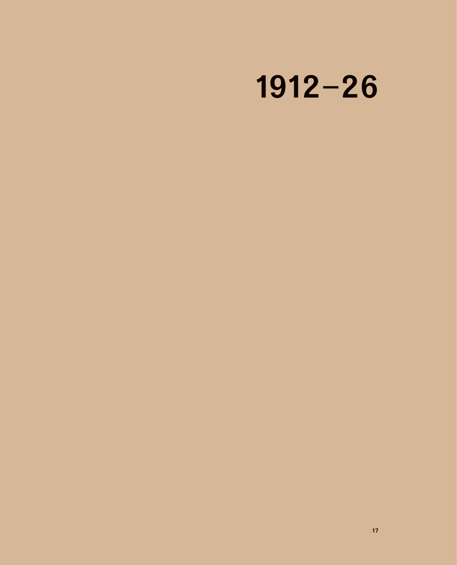# **1912–26**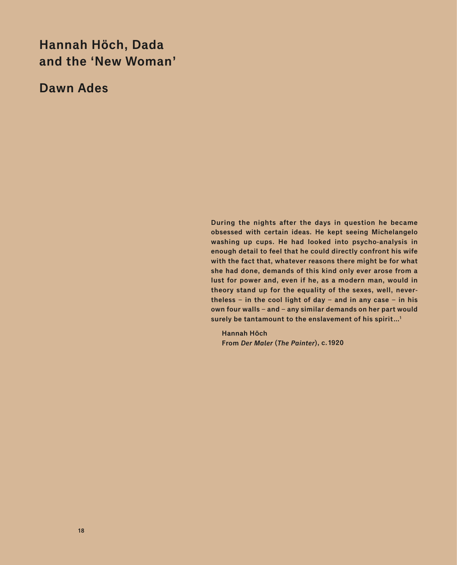## **Hannah Höch, Dada and the 'New Woman'**

**Dawn Ades**

**During the nights after the days in question he became obsessed with certain ideas. He kept seeing Michelangelo washing up cups. He had looked into psycho-analysis in enough detail to feel that he could directly confront his wife with the fact that, whatever reasons there might be for what she had done, demands of this kind only ever arose from a lust for power and, even if he, as a modern man, would in theory stand up for the equality of the sexes, well, nevertheless – in the cool light of day – and in any case – in his own four walls – and – any similar demands on her part would surely be tantamount to the enslavement of his spirit…1**

**Hannah Höch From** Der Maler **(**The Painter**), c. 1920**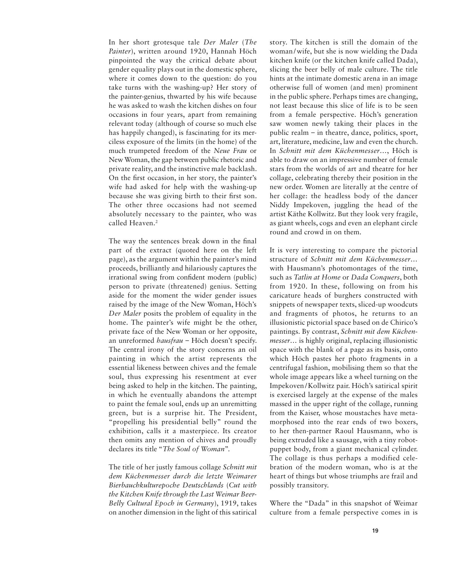In her short grotesque tale *Der Maler* (*The Painter*), written around 1920, Hannah Höch pinpointed the way the critical debate about gender equality plays out in the domestic sphere, where it comes down to the question: do you take turns with the washing-up? Her story of the painter-genius, thwarted by his wife because he was asked to wash the kitchen dishes on four occasions in four years, apart from remaining relevant today (although of course so much else has happily changed), is fascinating for its merciless exposure of the limits (in the home) of the much trumpeted freedom of the *Neue Frau* or New Woman, the gap between public rhetoric and private reality, and the instinctive male backlash. On the first occasion, in her story, the painter's wife had asked for help with the washing-up because she was giving birth to their first son. The other three occasions had not seemed absolutely necessary to the painter, who was called Heaven.<sup>2</sup>

The way the sentences break down in the final part of the extract (quoted here on the left page), as the argument within the painter's mind proceeds, brilliantly and hilariously captures the irrational swing from confident modern (public) person to private (threatened) genius. Setting aside for the moment the wider gender issues raised by the image of the New Woman, Höch's *Der Maler* posits the problem of equality in the home. The painter's wife might be the other, private face of the New Woman or her opposite, an unreformed *hausfrau* – Höch doesn't specify. The central irony of the story concerns an oil painting in which the artist represents the essential likeness between chives and the female soul, thus expressing his resentment at ever being asked to help in the kitchen. The painting, in which he eventually abandons the attempt to paint the female soul, ends up an unremitting green, but is a surprise hit. The President, "propelling his presidential belly" round the exhibition, calls it a masterpiece. Its creator then omits any mention of chives and proudly declares its title "*The Soul of Woman*".

The title of her justly famous collage *Schnitt mit dem Küchenmesser durch die letzte Weimarer Bierbauchkulturepoche Deutschlands* (*Cut with the Kitchen Knife through the Last Weimar Beer-Belly Cultural Epoch in Germany*), 1919, takes on another dimension in the light of this satirical story. The kitchen is still the domain of the woman / wife, but she is now wielding the Dada kitchen knife (or the kitchen knife called Dada), slicing the beer belly of male culture. The title hints at the intimate domestic arena in an image otherwise full of women (and men) prominent in the public sphere. Perhaps times are changing, not least because this slice of life is to be seen from a female perspective. Höch's generation saw women newly taking their places in the public realm – in theatre, dance, politics, sport, art, literature, medicine, law and even the church. In *Schnitt mit dem Küchenmesser…*, Höch is able to draw on an impressive number of female stars from the worlds of art and theatre for her collage, celebrating thereby their position in the new order. Women are literally at the centre of her collage: the headless body of the dancer Niddy Impekoven, juggling the head of the artist Käthe Kollwitz. But they look very fragile, as giant wheels, cogs and even an elephant circle round and crowd in on them.

It is very interesting to compare the pictorial structure of *Schnitt mit dem Küchenmesser…* with Hausmann's photomontages of the time, such as *Tatlin at Home* or *Dada Conquers*, both from 1920. In these, following on from his caricature heads of burghers constructed with snippets of newspaper texts, sliced-up woodcuts and fragments of photos, he returns to an illusionistic pictorial space based on de Chirico's paintings. By contrast, *Schnitt mit dem Küchenmesser…* is highly original, replacing illusionistic space with the blank of a page as its basis, onto which Höch pastes her photo fragments in a centrifugal fashion, mobilising them so that the whole image appears like a wheel turning on the Impekoven / Kollwitz pair. Höch's satirical spirit is exercised largely at the expense of the males massed in the upper right of the collage, running from the Kaiser, whose moustaches have metamorphosed into the rear ends of two boxers, to her then-partner Raoul Hausmann, who is being extruded like a sausage, with a tiny robotpuppet body, from a giant mechanical cylinder. The collage is thus perhaps a modified celebration of the modern woman, who is at the heart of things but whose triumphs are frail and possibly transitory.

Where the "Dada" in this snapshot of Weimar culture from a female perspective comes in is